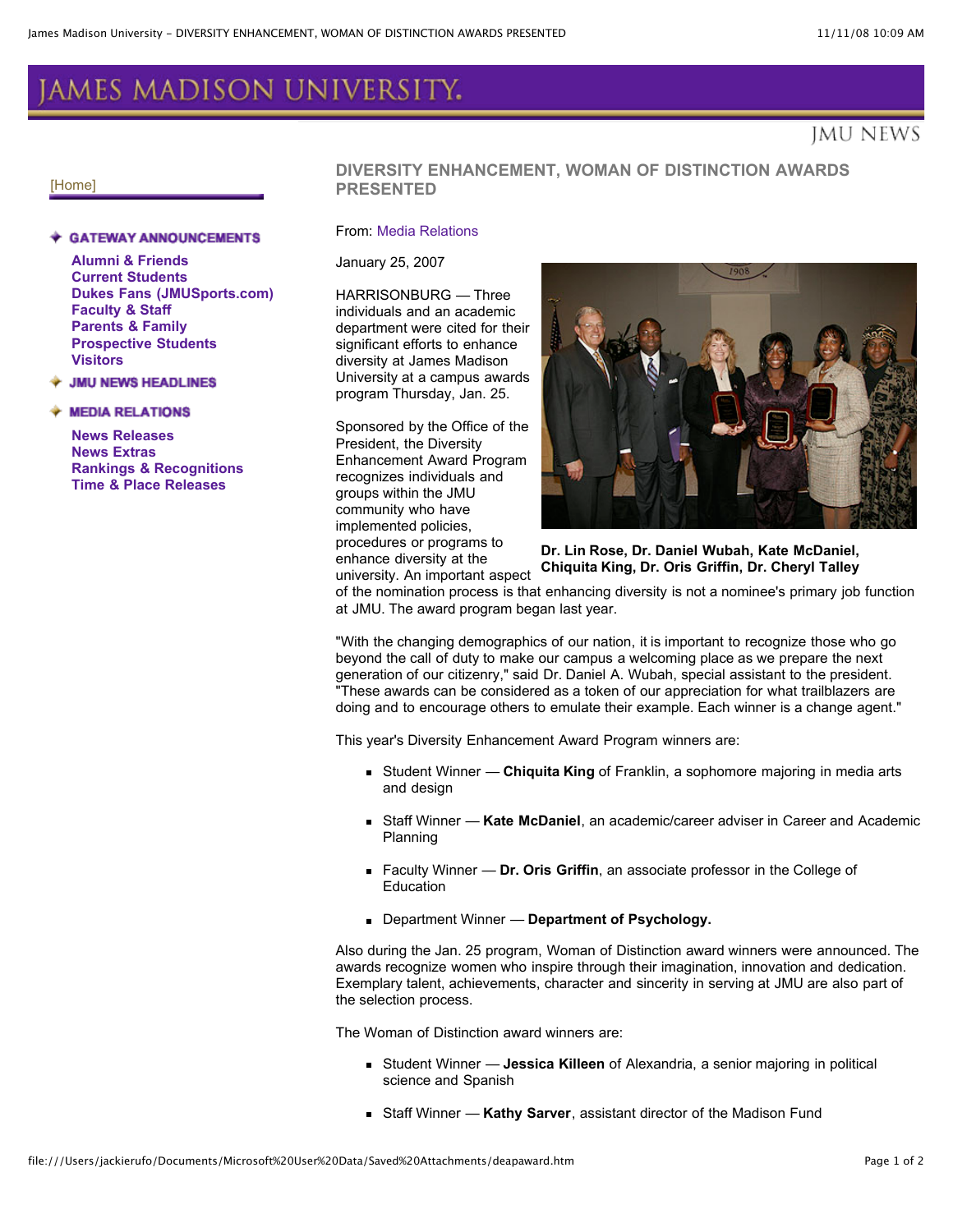# AMES MADISON UNIVERSITY.

# imu news

#### [\[Home\]](http://www.jmu.edu/)

#### **GATEWAY ANNOUNCEMENTS**

**Alumni & [Friends](http://www.jmu.edu/jmuweb/alumni/alumni_news_full.shtml) Current [Students](http://www.jmu.edu/jmuweb/students/students_news_full.shtml) Dukes Fans [\(JMUSports.com\)](http://www.jmusports.com/) [Faculty](http://www.jmu.edu/jmuweb/fs/fs_news_full.shtml) & Staff [Parents](http://www.jmu.edu/jmuweb/parents/parents_news_full.shtml) & Family [Prospective](http://www.jmu.edu/jmuweb/prospective/prospective_news_full.shtml) Students [Visitors](http://www.jmu.edu/jmuweb/visitors/visitors_news_full.shtml)**

#### **JMU NEWS HEADLINES**

#### **MEDIA RELATIONS**

**News [Releases](http://www.jmu.edu/mediarel/releases/) News [Extras](http://www.jmu.edu/mediarel/extra/) Rankings & [Recognitions](http://www.jmu.edu/mediarel/rankings.html) Time & Place [Releases](http://www.jmu.edu/mediarel/timeplace/)**

## **DIVERSITY ENHANCEMENT, WOMAN OF DISTINCTION AWARDS PRESENTED**

### From: Media [Relations](http://www.jmu.edu/news/TheNewsroom/)

January 25, 2007

HARRISONBURG — Three individuals and an academic department were cited for their significant efforts to enhance diversity at James Madison University at a campus awards program Thursday, Jan. 25.

Sponsored by the Office of the President, the Diversity Enhancement Award Program recognizes individuals and groups within the JMU community who have implemented policies, procedures or programs to enhance diversity at the university. An important aspect



**Dr. Lin Rose, Dr. Daniel Wubah, Kate McDaniel, Chiquita King, Dr. Oris Griffin, Dr. Cheryl Talley**

of the nomination process is that enhancing diversity is not a nominee's primary job function at JMU. The award program began last year.

"With the changing demographics of our nation, it is important to recognize those who go beyond the call of duty to make our campus a welcoming place as we prepare the next generation of our citizenry," said Dr. Daniel A. Wubah, special assistant to the president. "These awards can be considered as a token of our appreciation for what trailblazers are doing and to encourage others to emulate their example. Each winner is a change agent."

This year's Diversity Enhancement Award Program winners are:

- Student Winner **Chiquita King** of Franklin, a sophomore majoring in media arts and design
- Staff Winner **Kate McDaniel**, an academic/career adviser in Career and Academic Planning
- Faculty Winner **Dr. Oris Griffin**, an associate professor in the College of **Education**
- Department Winner **Department of Psychology.**

Also during the Jan. 25 program, Woman of Distinction award winners were announced. The awards recognize women who inspire through their imagination, innovation and dedication. Exemplary talent, achievements, character and sincerity in serving at JMU are also part of the selection process.

The Woman of Distinction award winners are:

- Student Winner **Jessica Killeen** of Alexandria, a senior majoring in political science and Spanish
- Staff Winner **Kathy Sarver**, assistant director of the Madison Fund